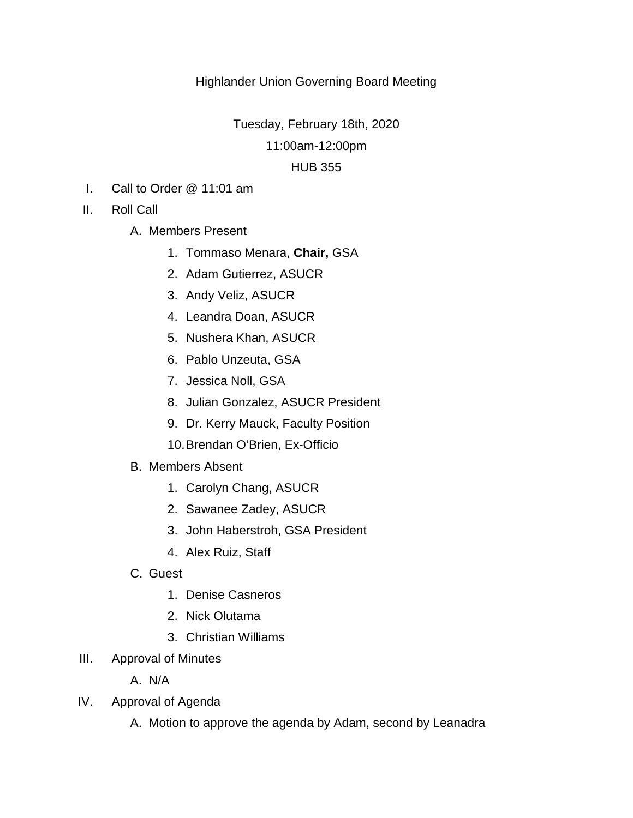# Highlander Union Governing Board Meeting

Tuesday, February 18th, 2020

11:00am-12:00pm

## HUB 355

- I. Call to Order @ 11:01 am
- II. Roll Call
	- A. Members Present
		- 1. Tommaso Menara, **Chair,** GSA
		- 2. Adam Gutierrez, ASUCR
		- 3. Andy Veliz, ASUCR
		- 4. Leandra Doan, ASUCR
		- 5. Nushera Khan, ASUCR
		- 6. Pablo Unzeuta, GSA
		- 7. Jessica Noll, GSA
		- 8. Julian Gonzalez, ASUCR President
		- 9. Dr. Kerry Mauck, Faculty Position
		- 10.Brendan O'Brien, Ex-Officio
	- B. Members Absent
		- 1. Carolyn Chang, ASUCR
		- 2. Sawanee Zadey, ASUCR
		- 3. John Haberstroh, GSA President
		- 4. Alex Ruiz, Staff
	- C. Guest
		- 1. Denise Casneros
		- 2. Nick Olutama
		- 3. Christian Williams
- III. Approval of Minutes

A. N/A

- IV. Approval of Agenda
	- A. Motion to approve the agenda by Adam, second by Leanadra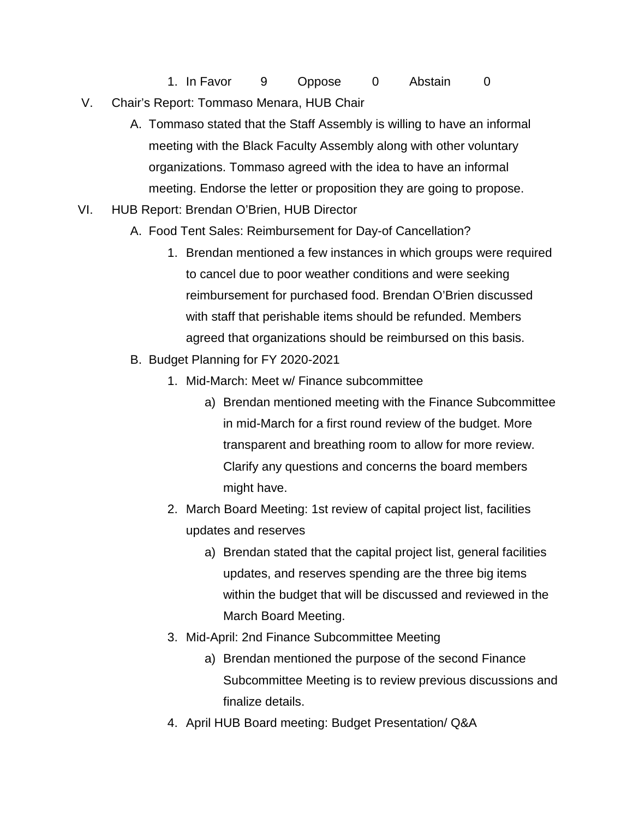1. In Favor 9 Oppose 0 Abstain 0 V. Chair's Report: Tommaso Menara, HUB Chair

- A. Tommaso stated that the Staff Assembly is willing to have an informal meeting with the Black Faculty Assembly along with other voluntary organizations. Tommaso agreed with the idea to have an informal meeting. Endorse the letter or proposition they are going to propose.
- VI. HUB Report: Brendan O'Brien, HUB Director
	- A. Food Tent Sales: Reimbursement for Day-of Cancellation?
		- 1. Brendan mentioned a few instances in which groups were required to cancel due to poor weather conditions and were seeking reimbursement for purchased food. Brendan O'Brien discussed with staff that perishable items should be refunded. Members agreed that organizations should be reimbursed on this basis.
	- B. Budget Planning for FY 2020-2021
		- 1. Mid-March: Meet w/ Finance subcommittee
			- a) Brendan mentioned meeting with the Finance Subcommittee in mid-March for a first round review of the budget. More transparent and breathing room to allow for more review. Clarify any questions and concerns the board members might have.
		- 2. March Board Meeting: 1st review of capital project list, facilities updates and reserves
			- a) Brendan stated that the capital project list, general facilities updates, and reserves spending are the three big items within the budget that will be discussed and reviewed in the March Board Meeting.
		- 3. Mid-April: 2nd Finance Subcommittee Meeting
			- a) Brendan mentioned the purpose of the second Finance Subcommittee Meeting is to review previous discussions and finalize details.
		- 4. April HUB Board meeting: Budget Presentation/ Q&A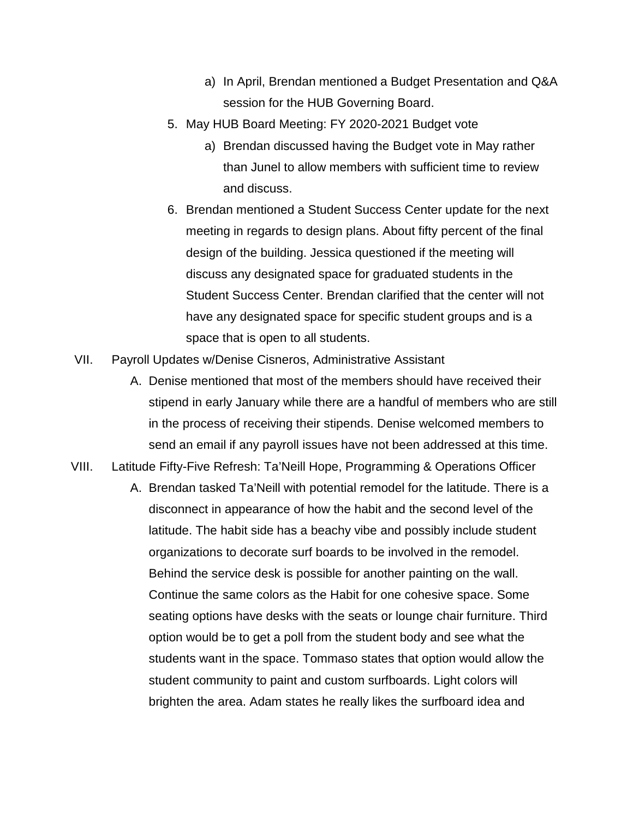- a) In April, Brendan mentioned a Budget Presentation and Q&A session for the HUB Governing Board.
- 5. May HUB Board Meeting: FY 2020-2021 Budget vote
	- a) Brendan discussed having the Budget vote in May rather than Junel to allow members with sufficient time to review and discuss.
- 6. Brendan mentioned a Student Success Center update for the next meeting in regards to design plans. About fifty percent of the final design of the building. Jessica questioned if the meeting will discuss any designated space for graduated students in the Student Success Center. Brendan clarified that the center will not have any designated space for specific student groups and is a space that is open to all students.
- VII. Payroll Updates w/Denise Cisneros, Administrative Assistant
	- A. Denise mentioned that most of the members should have received their stipend in early January while there are a handful of members who are still in the process of receiving their stipends. Denise welcomed members to send an email if any payroll issues have not been addressed at this time.
- VIII. Latitude Fifty-Five Refresh: Ta'Neill Hope, Programming & Operations Officer
	- A. Brendan tasked Ta'Neill with potential remodel for the latitude. There is a disconnect in appearance of how the habit and the second level of the latitude. The habit side has a beachy vibe and possibly include student organizations to decorate surf boards to be involved in the remodel. Behind the service desk is possible for another painting on the wall. Continue the same colors as the Habit for one cohesive space. Some seating options have desks with the seats or lounge chair furniture. Third option would be to get a poll from the student body and see what the students want in the space. Tommaso states that option would allow the student community to paint and custom surfboards. Light colors will brighten the area. Adam states he really likes the surfboard idea and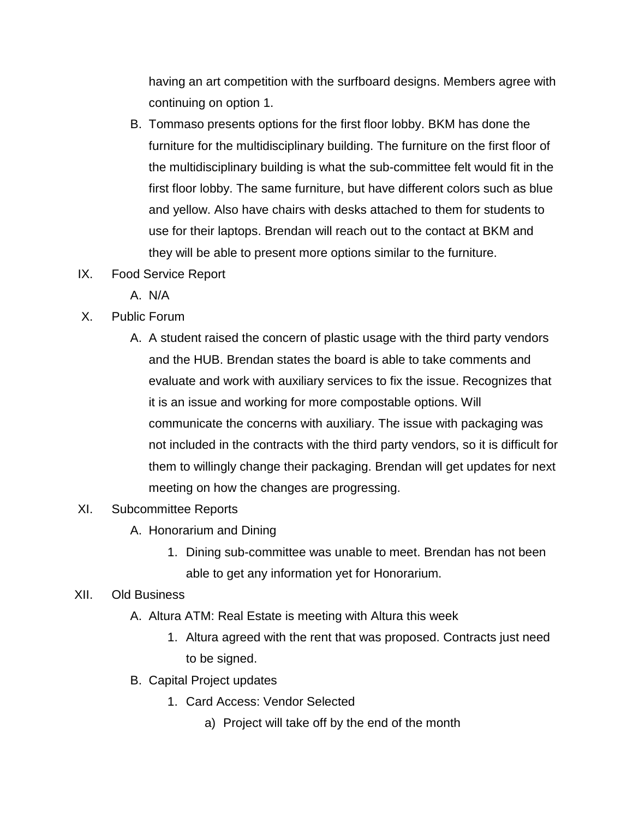having an art competition with the surfboard designs. Members agree with continuing on option 1.

- B. Tommaso presents options for the first floor lobby. BKM has done the furniture for the multidisciplinary building. The furniture on the first floor of the multidisciplinary building is what the sub-committee felt would fit in the first floor lobby. The same furniture, but have different colors such as blue and yellow. Also have chairs with desks attached to them for students to use for their laptops. Brendan will reach out to the contact at BKM and they will be able to present more options similar to the furniture.
- IX. Food Service Report
	- A. N/A
- X. Public Forum
	- A. A student raised the concern of plastic usage with the third party vendors and the HUB. Brendan states the board is able to take comments and evaluate and work with auxiliary services to fix the issue. Recognizes that it is an issue and working for more compostable options. Will communicate the concerns with auxiliary. The issue with packaging was not included in the contracts with the third party vendors, so it is difficult for them to willingly change their packaging. Brendan will get updates for next meeting on how the changes are progressing.

## XI. Subcommittee Reports

- A. Honorarium and Dining
	- 1. Dining sub-committee was unable to meet. Brendan has not been able to get any information yet for Honorarium.

## XII. Old Business

- A. Altura ATM: Real Estate is meeting with Altura this week
	- 1. Altura agreed with the rent that was proposed. Contracts just need to be signed.
- B. Capital Project updates
	- 1. Card Access: Vendor Selected
		- a) Project will take off by the end of the month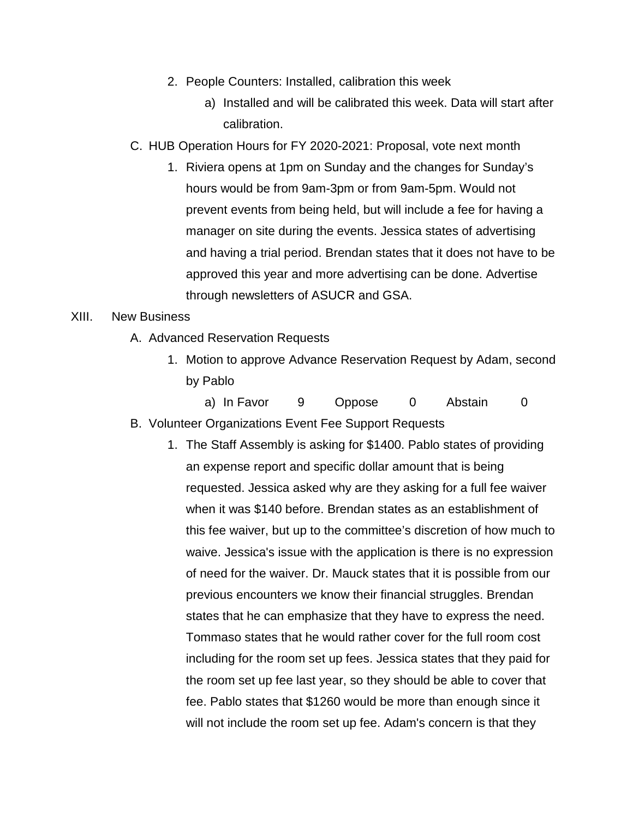- 2. People Counters: Installed, calibration this week
	- a) Installed and will be calibrated this week. Data will start after calibration.
- C. HUB Operation Hours for FY 2020-2021: Proposal, vote next month
	- 1. Riviera opens at 1pm on Sunday and the changes for Sunday's hours would be from 9am-3pm or from 9am-5pm. Would not prevent events from being held, but will include a fee for having a manager on site during the events. Jessica states of advertising and having a trial period. Brendan states that it does not have to be approved this year and more advertising can be done. Advertise through newsletters of ASUCR and GSA.

### XIII. New Business

- A. Advanced Reservation Requests
	- 1. Motion to approve Advance Reservation Request by Adam, second by Pablo

a) In Favor 9 Oppose 0 Abstain 0 B. Volunteer Organizations Event Fee Support Requests

1. The Staff Assembly is asking for \$1400. Pablo states of providing an expense report and specific dollar amount that is being requested. Jessica asked why are they asking for a full fee waiver when it was \$140 before. Brendan states as an establishment of this fee waiver, but up to the committee's discretion of how much to waive. Jessica's issue with the application is there is no expression of need for the waiver. Dr. Mauck states that it is possible from our previous encounters we know their financial struggles. Brendan states that he can emphasize that they have to express the need. Tommaso states that he would rather cover for the full room cost including for the room set up fees. Jessica states that they paid for the room set up fee last year, so they should be able to cover that fee. Pablo states that \$1260 would be more than enough since it will not include the room set up fee. Adam's concern is that they